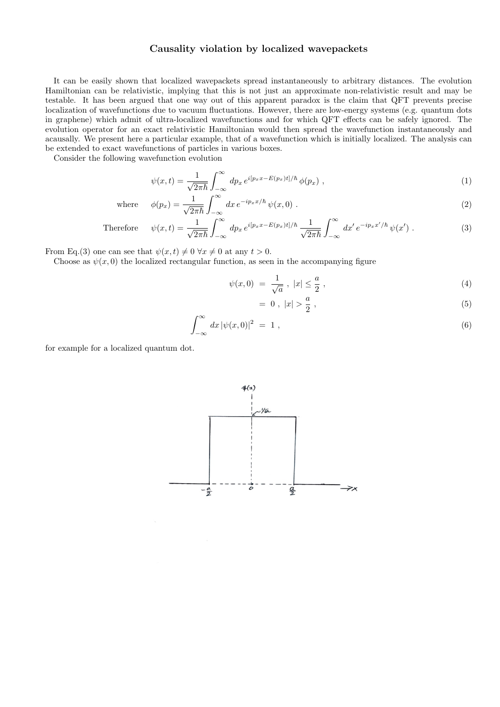## Causality violation by localized wavepackets

It can be easily shown that localized wavepackets spread instantaneously to arbitrary distances. The evolution Hamiltonian can be relativistic, implying that this is not just an approximate non-relativistic result and may be testable. It has been argued that one way out of this apparent paradox is the claim that QFT prevents precise localization of wavefunctions due to vacuum fluctuations. However, there are low-energy systems (e.g. quantum dots in graphene) which admit of ultra-localized wavefunctions and for which QFT effects can be safely ignored. The evolution operator for an exact relativistic Hamiltonian would then spread the wavefunction instantaneously and acausally. We present here a particular example, that of a wavefunction which is initially localized. The analysis can be extended to exact wavefunctions of particles in various boxes.

Consider the following wavefunction evolution

$$
\psi(x,t) = \frac{1}{\sqrt{2\pi\hbar}} \int_{-\infty}^{\infty} dp_x e^{i[p_x x - E(p_x)t]/\hbar} \phi(p_x) , \qquad (1)
$$

where 
$$
\phi(p_x) = \frac{1}{\sqrt{2\pi\hbar}} \int_{-\infty}^{\infty} dx \, e^{-ip_x x/\hbar} \, \psi(x,0) \; . \tag{2}
$$

Therefore 
$$
\psi(x,t) = \frac{1}{\sqrt{2\pi\hbar}} \int_{-\infty}^{\infty} dp_x e^{i[p_x x - E(p_x)t]/\hbar} \frac{1}{\sqrt{2\pi\hbar}} \int_{-\infty}^{\infty} dx' e^{-ip_x x'/\hbar} \psi(x') .
$$
 (3)

From Eq.(3) one can see that  $\psi(x, t) \neq 0 \,\forall x \neq 0$  at any  $t > 0$ .

Choose as  $\psi(x, 0)$  the localized rectangular function, as seen in the accompanying figure

$$
\psi(x,0) = \frac{1}{\sqrt{a}}, \ |x| \le \frac{a}{2}, \tag{4}
$$

$$
= 0, |x| > \frac{a}{2}, \tag{5}
$$

$$
\int_{-\infty}^{\infty} dx \, |\psi(x,0)|^2 = 1 \tag{6}
$$

for example for a localized quantum dot.